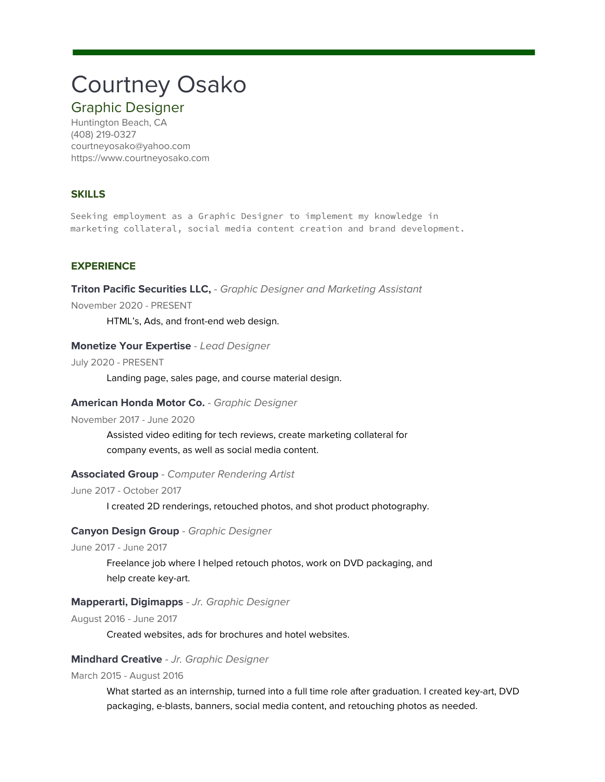# Courtney Osako

# Graphic Designer

Huntington Beach, CA (408) 219-0327 courtneyosako@yahoo.com https://www.courtneyosako.com

## **SKILLS**

Seeking employment as a Graphic Designer to implement my knowledge in marketing collateral, social media content creation and brand development.

## **EXPERIENCE**

**Triton Pacific Securities LLC,** - Graphic Designer and Marketing Assistant

November 2020 - PRESENT

HTML's, Ads, and front-end web design.

#### **Monetize Your Expertise** - Lead Designer

July 2020 - PRESENT

Landing page, sales page, and course material design.

#### **American Honda Motor Co.** - Graphic Designer

November 2017 - June 2020

Assisted video editing for tech reviews, create marketing collateral for company events, as well as social media content.

#### **Associated Group** - Computer Rendering Artist

June 2017 - October 2017

I created 2D renderings, retouched photos, and shot product photography.

#### **Canyon Design Group** - Graphic Designer

June 2017 - June 2017

Freelance job where I helped retouch photos, work on DVD packaging, and help create key-art.

### **Mapperarti, Digimapps** - Jr. Graphic Designer

August 2016 - June 2017

Created websites, ads for brochures and hotel websites.

#### **Mindhard Creative** - Jr. Graphic Designer

March 2015 - August 2016

What started as an internship, turned into a full time role after graduation. I created key-art, DVD packaging, e-blasts, banners, social media content, and retouching photos as needed.